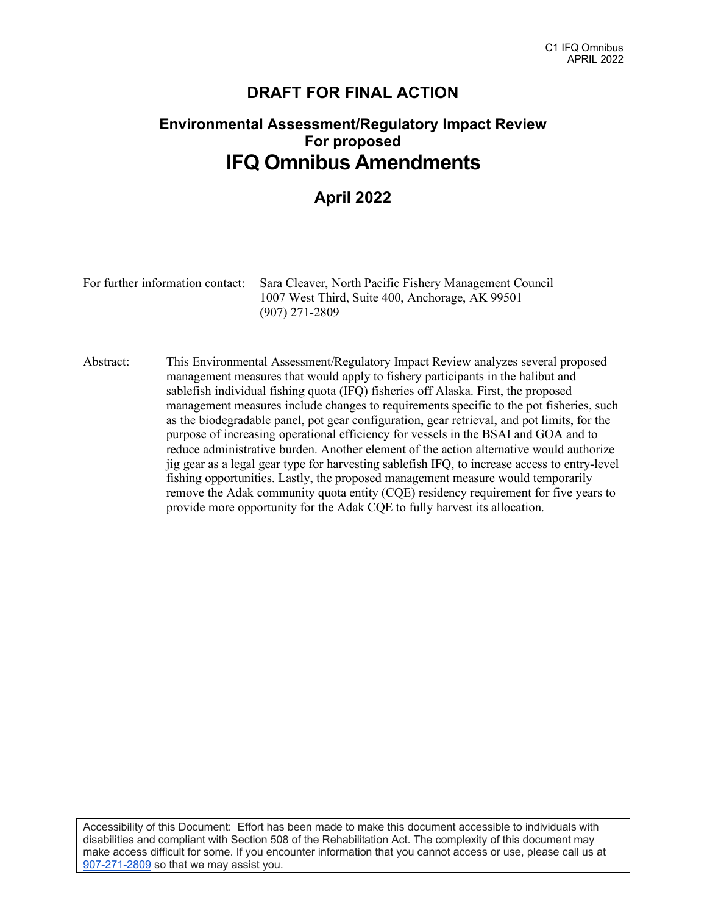# **DRAFT FOR FINAL ACTION**

# **Environmental Assessment/Regulatory Impact Review For proposed IFQ Omnibus Amendments**

# **April 2022**

| For further information contact: Sara Cleaver, North Pacific Fishery Management Council |  |  |  |
|-----------------------------------------------------------------------------------------|--|--|--|
| 1007 West Third, Suite 400, Anchorage, AK 99501                                         |  |  |  |
| $(907)$ 271-2809                                                                        |  |  |  |

Abstract: This Environmental Assessment/Regulatory Impact Review analyzes several proposed management measures that would apply to fishery participants in the halibut and sablefish individual fishing quota (IFQ) fisheries off Alaska. First, the proposed management measures include changes to requirements specific to the pot fisheries, such as the biodegradable panel, pot gear configuration, gear retrieval, and pot limits, for the purpose of increasing operational efficiency for vessels in the BSAI and GOA and to reduce administrative burden. Another element of the action alternative would authorize jig gear as a legal gear type for harvesting sablefish IFQ, to increase access to entry-level fishing opportunities. Lastly, the proposed management measure would temporarily remove the Adak community quota entity (CQE) residency requirement for five years to provide more opportunity for the Adak CQE to fully harvest its allocation.

Accessibility of this Document: Effort has been made to make this document accessible to individuals with disabilities and compliant with Section 508 of the Rehabilitation Act. The complexity of this document may make access difficult for some. If you encounter information that you cannot access or use, please call us at [907-271-2809](tel:%28907%29%20586-7228) so that we may assist you.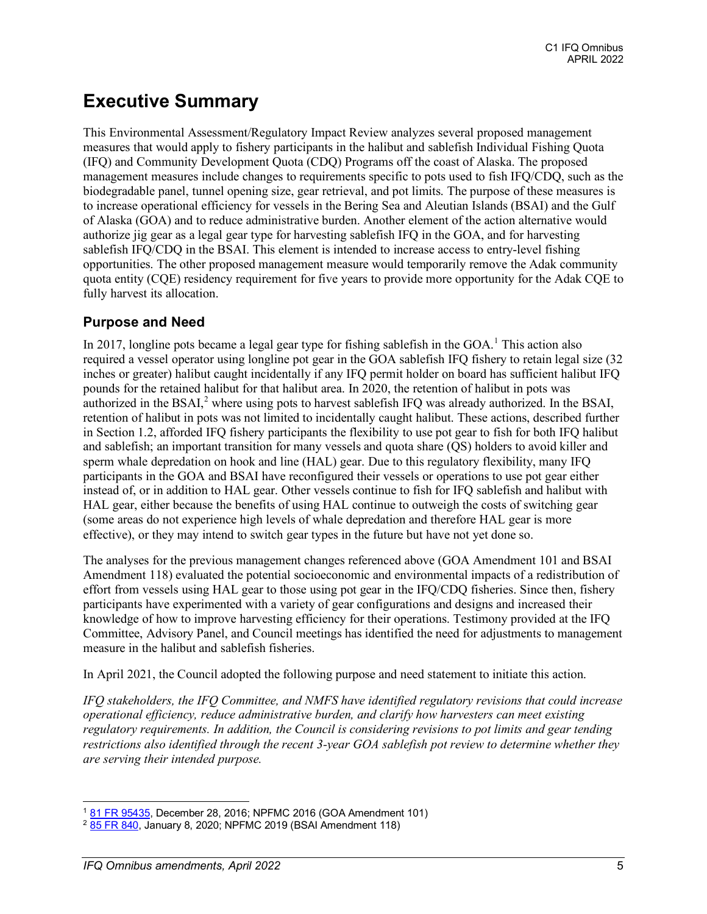# **Executive Summary**

This Environmental Assessment/Regulatory Impact Review analyzes several proposed management measures that would apply to fishery participants in the halibut and sablefish Individual Fishing Quota (IFQ) and Community Development Quota (CDQ) Programs off the coast of Alaska. The proposed management measures include changes to requirements specific to pots used to fish IFQ/CDQ, such as the biodegradable panel, tunnel opening size, gear retrieval, and pot limits. The purpose of these measures is to increase operational efficiency for vessels in the Bering Sea and Aleutian Islands (BSAI) and the Gulf of Alaska (GOA) and to reduce administrative burden. Another element of the action alternative would authorize jig gear as a legal gear type for harvesting sablefish IFQ in the GOA, and for harvesting sablefish IFQ/CDQ in the BSAI. This element is intended to increase access to entry-level fishing opportunities. The other proposed management measure would temporarily remove the Adak community quota entity (CQE) residency requirement for five years to provide more opportunity for the Adak CQE to fully harvest its allocation.

### **Purpose and Need**

In 20[1](#page-1-0)7, longline pots became a legal gear type for fishing sablefish in the GOA.<sup>1</sup> This action also required a vessel operator using longline pot gear in the GOA sablefish IFQ fishery to retain legal size (32 inches or greater) halibut caught incidentally if any IFQ permit holder on board has sufficient halibut IFQ pounds for the retained halibut for that halibut area. In 2020, the retention of halibut in pots was authorized in the BSAI,<sup>[2](#page-1-1)</sup> where using pots to harvest sablefish IFQ was already authorized. In the BSAI, retention of halibut in pots was not limited to incidentally caught halibut. These actions, described further in Section 1.2, afforded IFQ fishery participants the flexibility to use pot gear to fish for both IFQ halibut and sablefish; an important transition for many vessels and quota share (QS) holders to avoid killer and sperm whale depredation on hook and line (HAL) gear. Due to this regulatory flexibility, many IFQ participants in the GOA and BSAI have reconfigured their vessels or operations to use pot gear either instead of, or in addition to HAL gear. Other vessels continue to fish for IFQ sablefish and halibut with HAL gear, either because the benefits of using HAL continue to outweigh the costs of switching gear (some areas do not experience high levels of whale depredation and therefore HAL gear is more effective), or they may intend to switch gear types in the future but have not yet done so.

The analyses for the previous management changes referenced above (GOA Amendment 101 and BSAI Amendment 118) evaluated the potential socioeconomic and environmental impacts of a redistribution of effort from vessels using HAL gear to those using pot gear in the IFQ/CDQ fisheries. Since then, fishery participants have experimented with a variety of gear configurations and designs and increased their knowledge of how to improve harvesting efficiency for their operations. Testimony provided at the IFQ Committee, Advisory Panel, and Council meetings has identified the need for adjustments to management measure in the halibut and sablefish fisheries.

In April 2021, the Council adopted the following purpose and need statement to initiate this action.

*IFQ stakeholders, the IFQ Committee, and NMFS have identified regulatory revisions that could increase operational efficiency, reduce administrative burden, and clarify how harvesters can meet existing regulatory requirements. In addition, the Council is considering revisions to pot limits and gear tending restrictions also identified through the recent 3-year GOA sablefish pot review to determine whether they are serving their intended purpose.* 

<span id="page-1-0"></span><sup>1</sup> [81 FR 95435,](https://www.govinfo.gov/content/pkg/FR-2016-12-28/pdf/2016-31057.pdf) December 28, 2016; NPFMC 2016 (GOA Amendment 101)

<span id="page-1-1"></span><sup>&</sup>lt;sup>2</sup> [85 FR 840,](https://www.govinfo.gov/content/pkg/FR-2020-01-08/pdf/2019-27903.pdf) January 8, 2020; NPFMC 2019 (BSAI Amendment 118)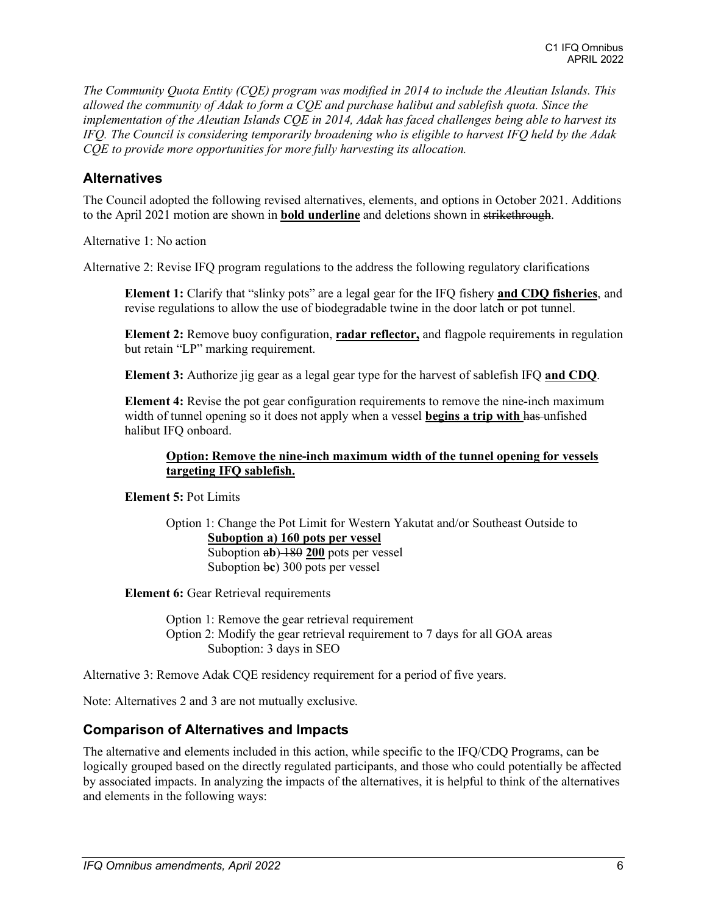*The Community Quota Entity (CQE) program was modified in 2014 to include the Aleutian Islands. This allowed the community of Adak to form a CQE and purchase halibut and sablefish quota. Since the implementation of the Aleutian Islands CQE in 2014, Adak has faced challenges being able to harvest its IFQ. The Council is considering temporarily broadening who is eligible to harvest IFQ held by the Adak CQE to provide more opportunities for more fully harvesting its allocation.*

### **Alternatives**

The Council adopted the following revised alternatives, elements, and options in October 2021. Additions to the April 2021 motion are shown in **bold underline** and deletions shown in strikethrough.

Alternative 1: No action

Alternative 2: Revise IFQ program regulations to the address the following regulatory clarifications

**Element 1:** Clarify that "slinky pots" are a legal gear for the IFQ fishery **and CDQ fisheries**, and revise regulations to allow the use of biodegradable twine in the door latch or pot tunnel.

**Element 2:** Remove buoy configuration, **radar reflector,** and flagpole requirements in regulation but retain "LP" marking requirement.

**Element 3:** Authorize jig gear as a legal gear type for the harvest of sablefish IFQ **and CDQ**.

**Element 4:** Revise the pot gear configuration requirements to remove the nine-inch maximum width of tunnel opening so it does not apply when a vessel **begins a trip with has-unfished** halibut IFQ onboard.

#### **Option: Remove the nine-inch maximum width of the tunnel opening for vessels targeting IFQ sablefish.**

**Element 5:** Pot Limits

Option 1: Change the Pot Limit for Western Yakutat and/or Southeast Outside to **Suboption a) 160 pots per vessel**  Suboption a**b**) 180 **200** pots per vessel Suboption b**c**) 300 pots per vessel

**Element 6:** Gear Retrieval requirements

Option 1: Remove the gear retrieval requirement Option 2: Modify the gear retrieval requirement to 7 days for all GOA areas Suboption: 3 days in SEO

Alternative 3: Remove Adak CQE residency requirement for a period of five years.

Note: Alternatives 2 and 3 are not mutually exclusive.

### **Comparison of Alternatives and Impacts**

The alternative and elements included in this action, while specific to the IFQ/CDQ Programs, can be logically grouped based on the directly regulated participants, and those who could potentially be affected by associated impacts. In analyzing the impacts of the alternatives, it is helpful to think of the alternatives and elements in the following ways: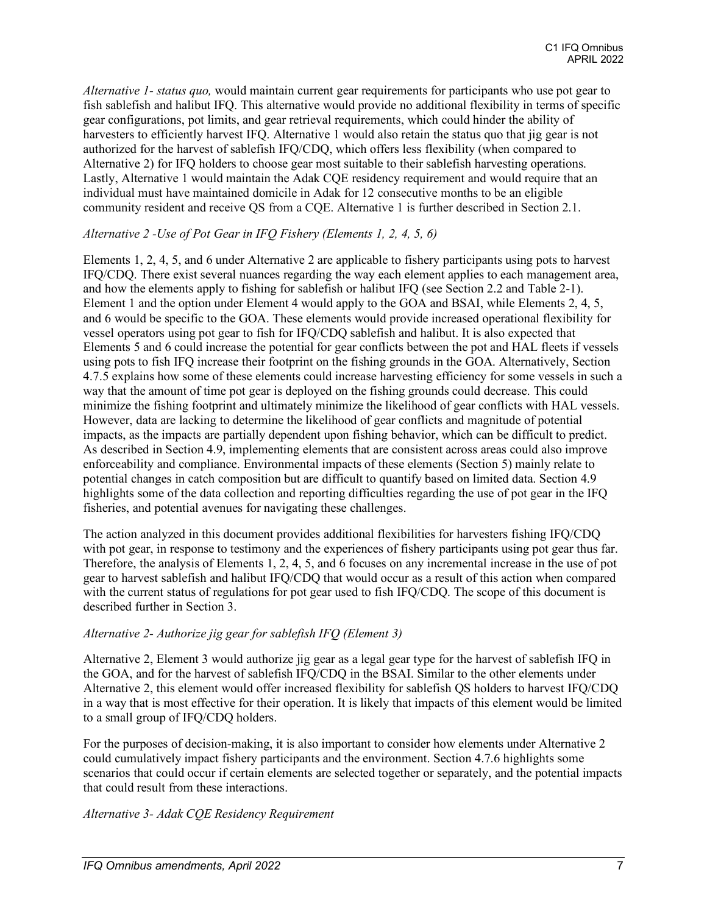*Alternative 1- status quo,* would maintain current gear requirements for participants who use pot gear to fish sablefish and halibut IFQ. This alternative would provide no additional flexibility in terms of specific gear configurations, pot limits, and gear retrieval requirements, which could hinder the ability of harvesters to efficiently harvest IFQ. Alternative 1 would also retain the status quo that jig gear is not authorized for the harvest of sablefish IFQ/CDQ, which offers less flexibility (when compared to Alternative 2) for IFQ holders to choose gear most suitable to their sablefish harvesting operations. Lastly, Alternative 1 would maintain the Adak CQE residency requirement and would require that an individual must have maintained domicile in Adak for 12 consecutive months to be an eligible community resident and receive QS from a CQE. Alternative 1 is further described in Section 2.1.

#### *Alternative 2 -Use of Pot Gear in IFQ Fishery (Elements 1, 2, 4, 5, 6)*

Elements 1, 2, 4, 5, and 6 under Alternative 2 are applicable to fishery participants using pots to harvest IFQ/CDQ. There exist several nuances regarding the way each element applies to each management area, and how the elements apply to fishing for sablefish or halibut IFQ (see Section 2.2 and Table 2-1). Element 1 and the option under Element 4 would apply to the GOA and BSAI, while Elements 2, 4, 5, and 6 would be specific to the GOA. These elements would provide increased operational flexibility for vessel operators using pot gear to fish for IFQ/CDQ sablefish and halibut. It is also expected that Elements 5 and 6 could increase the potential for gear conflicts between the pot and HAL fleets if vessels using pots to fish IFQ increase their footprint on the fishing grounds in the GOA. Alternatively, Section 4.7.5 explains how some of these elements could increase harvesting efficiency for some vessels in such a way that the amount of time pot gear is deployed on the fishing grounds could decrease. This could minimize the fishing footprint and ultimately minimize the likelihood of gear conflicts with HAL vessels. However, data are lacking to determine the likelihood of gear conflicts and magnitude of potential impacts, as the impacts are partially dependent upon fishing behavior, which can be difficult to predict. As described in Section 4.9, implementing elements that are consistent across areas could also improve enforceability and compliance. Environmental impacts of these elements (Section 5) mainly relate to potential changes in catch composition but are difficult to quantify based on limited data. Section 4.9 highlights some of the data collection and reporting difficulties regarding the use of pot gear in the IFQ fisheries, and potential avenues for navigating these challenges.

The action analyzed in this document provides additional flexibilities for harvesters fishing IFQ/CDQ with pot gear, in response to testimony and the experiences of fishery participants using pot gear thus far. Therefore, the analysis of Elements 1, 2, 4, 5, and 6 focuses on any incremental increase in the use of pot gear to harvest sablefish and halibut IFQ/CDQ that would occur as a result of this action when compared with the current status of regulations for pot gear used to fish IFQ/CDQ. The scope of this document is described further in Section 3.

#### *Alternative 2- Authorize jig gear for sablefish IFQ (Element 3)*

Alternative 2, Element 3 would authorize jig gear as a legal gear type for the harvest of sablefish IFQ in the GOA, and for the harvest of sablefish IFQ/CDQ in the BSAI. Similar to the other elements under Alternative 2, this element would offer increased flexibility for sablefish QS holders to harvest IFQ/CDQ in a way that is most effective for their operation. It is likely that impacts of this element would be limited to a small group of IFQ/CDQ holders.

For the purposes of decision-making, it is also important to consider how elements under Alternative 2 could cumulatively impact fishery participants and the environment. Section 4.7.6 highlights some scenarios that could occur if certain elements are selected together or separately, and the potential impacts that could result from these interactions.

*Alternative 3- Adak CQE Residency Requirement*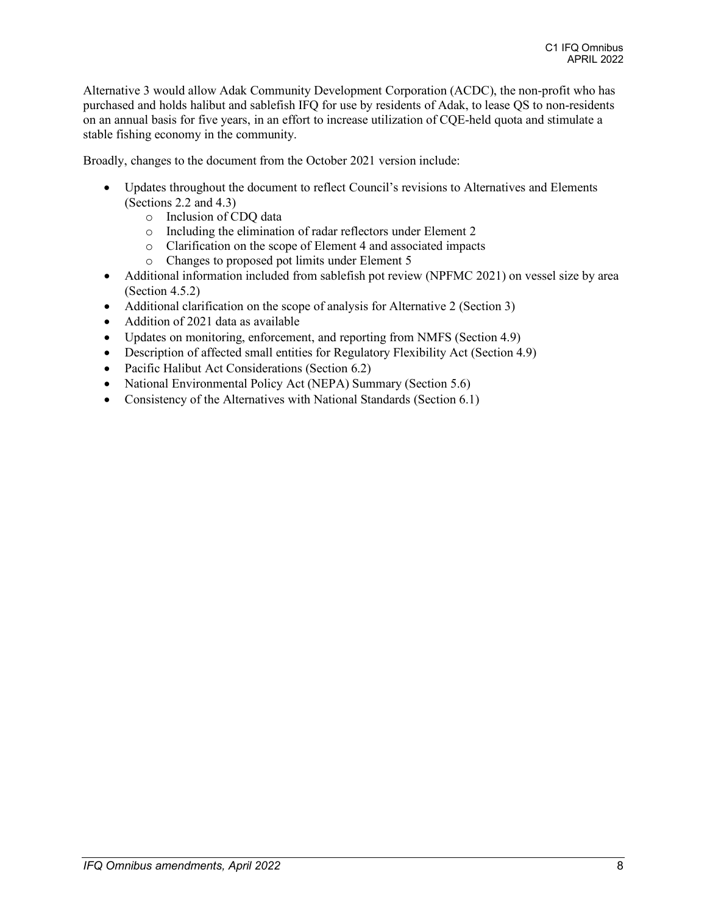Alternative 3 would allow Adak Community Development Corporation (ACDC), the non-profit who has purchased and holds halibut and sablefish IFQ for use by residents of Adak, to lease QS to non-residents on an annual basis for five years, in an effort to increase utilization of CQE-held quota and stimulate a stable fishing economy in the community.

Broadly, changes to the document from the October 2021 version include:

- Updates throughout the document to reflect Council's revisions to Alternatives and Elements (Sections 2.2 and 4.3)
	- o Inclusion of CDQ data
	- o Including the elimination of radar reflectors under Element 2
	- o Clarification on the scope of Element 4 and associated impacts
	- Changes to proposed pot limits under Element 5
- Additional information included from sablefish pot review (NPFMC 2021) on vessel size by area (Section 4.5.2)
- Additional clarification on the scope of analysis for Alternative 2 (Section 3)
- Addition of 2021 data as available
- Updates on monitoring, enforcement, and reporting from NMFS (Section 4.9)
- Description of affected small entities for Regulatory Flexibility Act (Section 4.9)
- Pacific Halibut Act Considerations (Section 6.2)
- National Environmental Policy Act (NEPA) Summary (Section 5.6)
- Consistency of the Alternatives with National Standards (Section 6.1)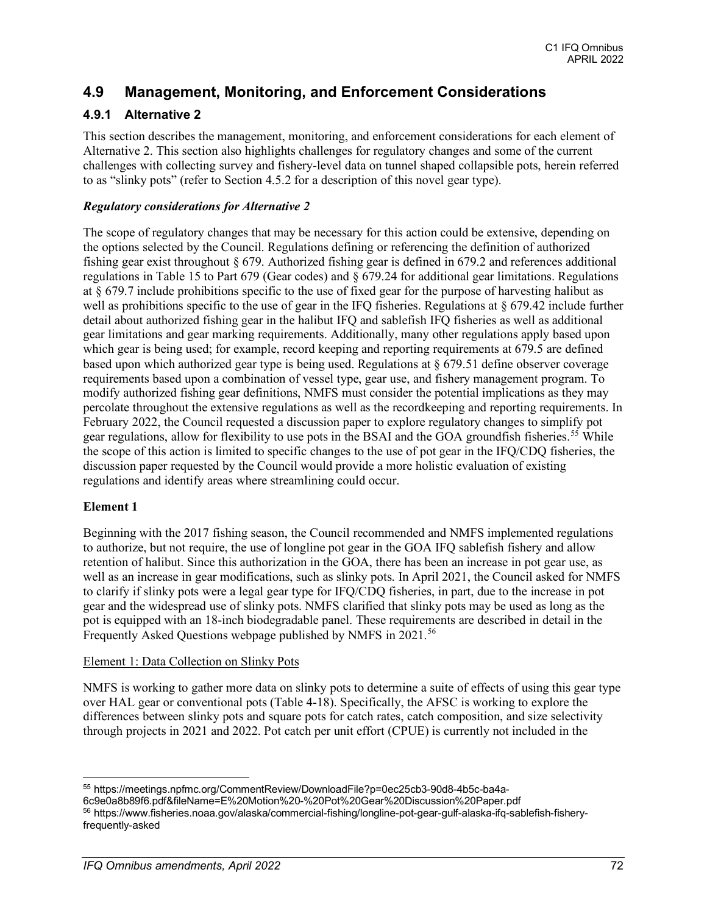## **4.9 Management, Monitoring, and Enforcement Considerations**

### **4.9.1 Alternative 2**

This section describes the management, monitoring, and enforcement considerations for each element of Alternative 2. This section also highlights challenges for regulatory changes and some of the current challenges with collecting survey and fishery-level data on tunnel shaped collapsible pots, herein referred to as "slinky pots" (refer to Section 4.5.2 for a description of this novel gear type).

#### *Regulatory considerations for Alternative 2*

The scope of regulatory changes that may be necessary for this action could be extensive, depending on the options selected by the Council. Regulations defining or referencing the definition of authorized fishing gear exist throughout § 679. Authorized fishing gear is defined in 679.2 and references additional regulations in Table 15 to Part 679 (Gear codes) and § 679.24 for additional gear limitations. Regulations at § 679.7 include prohibitions specific to the use of fixed gear for the purpose of harvesting halibut as well as prohibitions specific to the use of gear in the IFQ fisheries. Regulations at § 679.42 include further detail about authorized fishing gear in the halibut IFQ and sablefish IFQ fisheries as well as additional gear limitations and gear marking requirements. Additionally, many other regulations apply based upon which gear is being used; for example, record keeping and reporting requirements at 679.5 are defined based upon which authorized gear type is being used. Regulations at § 679.51 define observer coverage requirements based upon a combination of vessel type, gear use, and fishery management program. To modify authorized fishing gear definitions, NMFS must consider the potential implications as they may percolate throughout the extensive regulations as well as the recordkeeping and reporting requirements. In February 2022, the Council requested a discussion paper to explore regulatory changes to simplify pot gear regulations, allow for flexibility to use pots in the BSAI and the GOA groundfish fisheries.<sup>[55](#page-5-0)</sup> While the scope of this action is limited to specific changes to the use of pot gear in the IFQ/CDQ fisheries, the discussion paper requested by the Council would provide a more holistic evaluation of existing regulations and identify areas where streamlining could occur.

#### **Element 1**

Beginning with the 2017 fishing season, the Council recommended and NMFS implemented regulations to authorize, but not require, the use of longline pot gear in the GOA IFQ sablefish fishery and allow retention of halibut. Since this authorization in the GOA, there has been an increase in pot gear use, as well as an increase in gear modifications, such as slinky pots. In April 2021, the Council asked for NMFS to clarify if slinky pots were a legal gear type for IFQ/CDQ fisheries, in part, due to the increase in pot gear and the widespread use of slinky pots. NMFS clarified that slinky pots may be used as long as the pot is equipped with an 18-inch biodegradable panel. These requirements are described in detail in the Frequently Asked Questions webpage published by NMFS in 2021.<sup>[56](#page-5-1)</sup>

#### Element 1: Data Collection on Slinky Pots

NMFS is working to gather more data on slinky pots to determine a suite of effects of using this gear type over HAL gear or conventional pots (Table 4-18). Specifically, the AFSC is working to explore the differences between slinky pots and square pots for catch rates, catch composition, and size selectivity through projects in 2021 and 2022. Pot catch per unit effort (CPUE) is currently not included in the

<span id="page-5-0"></span><sup>55</sup> https://meetings.npfmc.org/CommentReview/DownloadFile?p=0ec25cb3-90d8-4b5c-ba4a-

<sup>6</sup>c9e0a8b89f6.pdf&fileName=E%20Motion%20-%20Pot%20Gear%20Discussion%20Paper.pdf

<span id="page-5-1"></span><sup>56</sup> https://www.fisheries.noaa.gov/alaska/commercial-fishing/longline-pot-gear-gulf-alaska-ifq-sablefish-fisheryfrequently-asked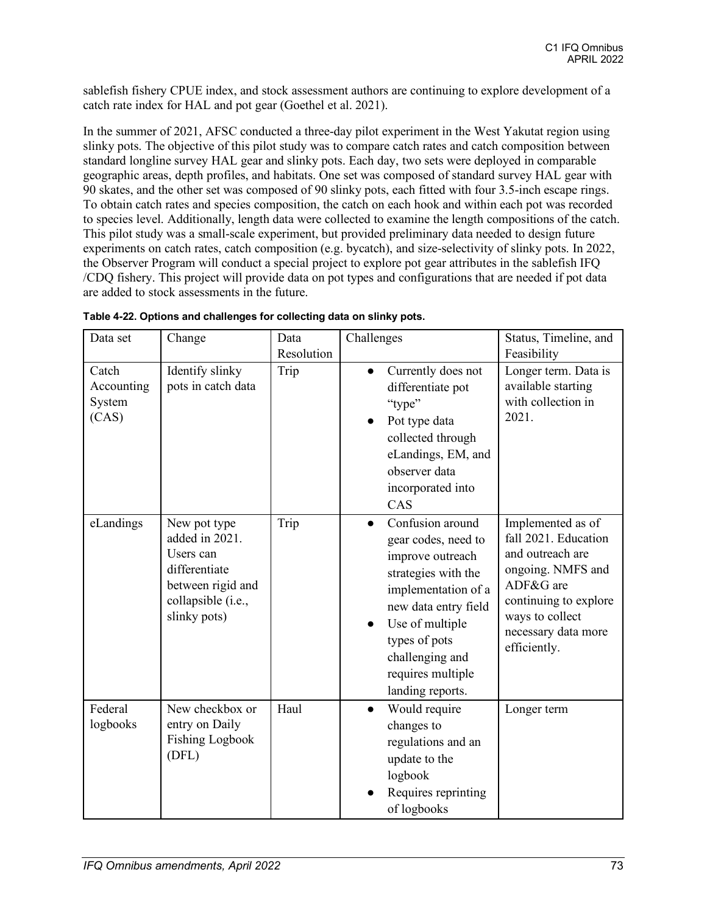sablefish fishery CPUE index, and stock assessment authors are continuing to explore development of a catch rate index for HAL and pot gear (Goethel et al. 2021).

In the summer of 2021, AFSC conducted a three-day pilot experiment in the West Yakutat region using slinky pots. The objective of this pilot study was to compare catch rates and catch composition between standard longline survey HAL gear and slinky pots. Each day, two sets were deployed in comparable geographic areas, depth profiles, and habitats. One set was composed of standard survey HAL gear with 90 skates, and the other set was composed of 90 slinky pots, each fitted with four 3.5-inch escape rings. To obtain catch rates and species composition, the catch on each hook and within each pot was recorded to species level. Additionally, length data were collected to examine the length compositions of the catch. This pilot study was a small-scale experiment, but provided preliminary data needed to design future experiments on catch rates, catch composition (e.g. bycatch), and size-selectivity of slinky pots. In 2022, the Observer Program will conduct a special project to explore pot gear attributes in the sablefish IFQ /CDQ fishery. This project will provide data on pot types and configurations that are needed if pot data are added to stock assessments in the future.

| Data set                               | Change                                                                                                                  | Data<br>Resolution | Challenges                                                                                                                                                                                                                                     | Status, Timeline, and<br>Feasibility                                                                                                                                               |
|----------------------------------------|-------------------------------------------------------------------------------------------------------------------------|--------------------|------------------------------------------------------------------------------------------------------------------------------------------------------------------------------------------------------------------------------------------------|------------------------------------------------------------------------------------------------------------------------------------------------------------------------------------|
| Catch<br>Accounting<br>System<br>(CAS) | Identify slinky<br>pots in catch data                                                                                   | Trip               | Currently does not<br>$\bullet$<br>differentiate pot<br>"type"<br>Pot type data<br>collected through<br>eLandings, EM, and<br>observer data<br>incorporated into<br>CAS                                                                        | Longer term. Data is<br>available starting<br>with collection in<br>2021.                                                                                                          |
| eLandings                              | New pot type<br>added in 2021.<br>Users can<br>differentiate<br>between rigid and<br>collapsible (i.e.,<br>slinky pots) | Trip               | Confusion around<br>$\bullet$<br>gear codes, need to<br>improve outreach<br>strategies with the<br>implementation of a<br>new data entry field<br>Use of multiple<br>types of pots<br>challenging and<br>requires multiple<br>landing reports. | Implemented as of<br>fall 2021. Education<br>and outreach are<br>ongoing. NMFS and<br>ADF&G are<br>continuing to explore<br>ways to collect<br>necessary data more<br>efficiently. |
| Federal<br>logbooks                    | New checkbox or<br>entry on Daily<br><b>Fishing Logbook</b><br>(DFL)                                                    | Haul               | Would require<br>changes to<br>regulations and an<br>update to the<br>logbook<br>Requires reprinting<br>of logbooks                                                                                                                            | Longer term                                                                                                                                                                        |

**Table 4-22. Options and challenges for collecting data on slinky pots.**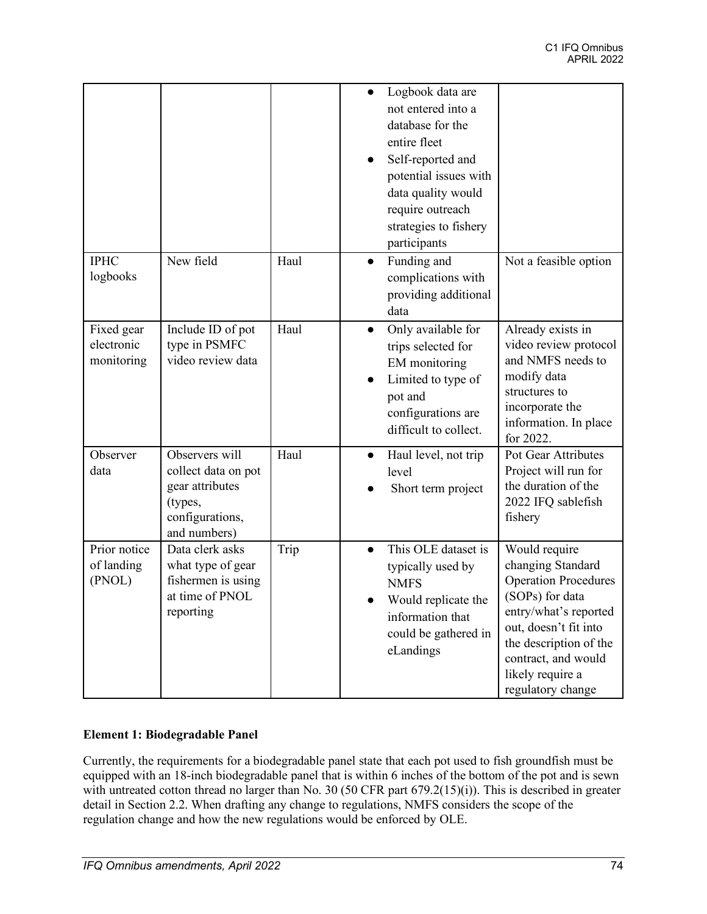|                                        |                                                                                                        |      | Logbook data are<br>not entered into a<br>database for the<br>entire fleet<br>Self-reported and<br>potential issues with<br>data quality would<br>require outreach<br>strategies to fishery<br>participants |                                                                                                                                                                                                                                  |
|----------------------------------------|--------------------------------------------------------------------------------------------------------|------|-------------------------------------------------------------------------------------------------------------------------------------------------------------------------------------------------------------|----------------------------------------------------------------------------------------------------------------------------------------------------------------------------------------------------------------------------------|
| <b>IPHC</b><br>logbooks                | New field                                                                                              | Haul | Funding and<br>$\bullet$<br>complications with<br>providing additional<br>data                                                                                                                              | Not a feasible option                                                                                                                                                                                                            |
| Fixed gear<br>electronic<br>monitoring | Include ID of pot<br>type in PSMFC<br>video review data                                                | Haul | Only available for<br>trips selected for<br>EM monitoring<br>Limited to type of<br>pot and<br>configurations are<br>difficult to collect.                                                                   | Already exists in<br>video review protocol<br>and NMFS needs to<br>modify data<br>structures to<br>incorporate the<br>information. In place<br>for 2022.                                                                         |
| Observer<br>data                       | Observers will<br>collect data on pot<br>gear attributes<br>(types,<br>configurations,<br>and numbers) | Haul | Haul level, not trip<br>$\bullet$<br>level<br>Short term project                                                                                                                                            | Pot Gear Attributes<br>Project will run for<br>the duration of the<br>2022 IFQ sablefish<br>fishery                                                                                                                              |
| Prior notice<br>of landing<br>(PNOL)   | Data clerk asks<br>what type of gear<br>fishermen is using<br>at time of PNOL<br>reporting             | Trip | This OLE dataset is<br>typically used by<br><b>NMFS</b><br>Would replicate the<br>information that<br>could be gathered in<br>eLandings                                                                     | Would require<br>changing Standard<br><b>Operation Procedures</b><br>(SOPs) for data<br>entry/what's reported<br>out, doesn't fit into<br>the description of the<br>contract, and would<br>likely require a<br>regulatory change |

#### **Element 1: Biodegradable Panel**

Currently, the requirements for a biodegradable panel state that each pot used to fish groundfish must be equipped with an 18-inch biodegradable panel that is within 6 inches of the bottom of the pot and is sewn with untreated cotton thread no larger than No. 30 (50 CFR part 679.2(15)(i)). This is described in greater detail in Section 2.2. When drafting any change to regulations, NMFS considers the scope of the regulation change and how the new regulations would be enforced by OLE.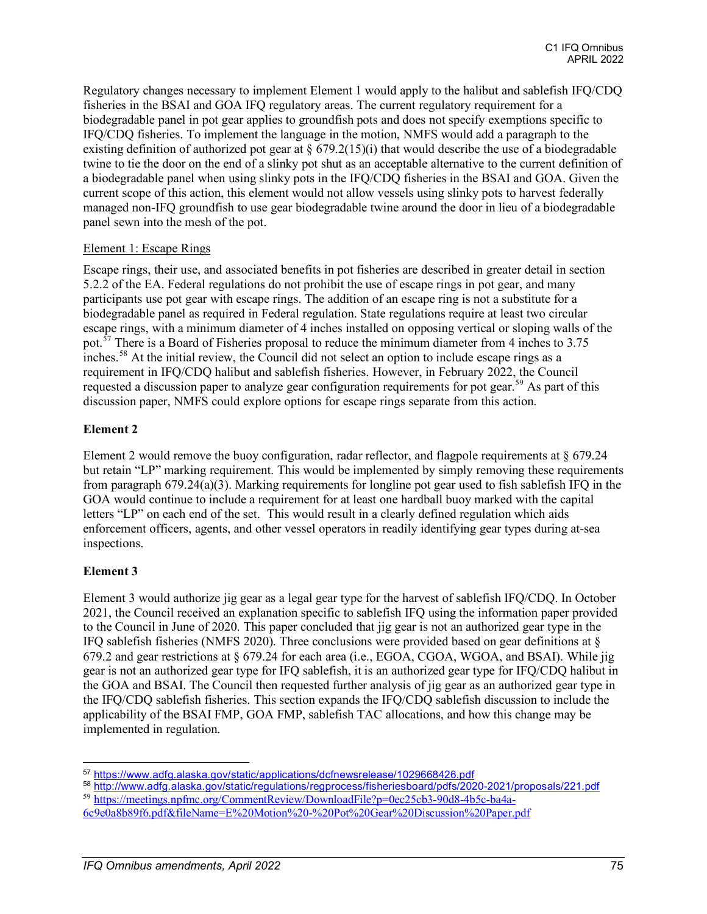Regulatory changes necessary to implement Element 1 would apply to the halibut and sablefish IFQ/CDQ fisheries in the BSAI and GOA IFQ regulatory areas. The current regulatory requirement for a biodegradable panel in pot gear applies to groundfish pots and does not specify exemptions specific to IFQ/CDQ fisheries. To implement the language in the motion, NMFS would add a paragraph to the existing definition of authorized pot gear at  $\S 679.2(15)(i)$  that would describe the use of a biodegradable twine to tie the door on the end of a slinky pot shut as an acceptable alternative to the current definition of a biodegradable panel when using slinky pots in the IFQ/CDQ fisheries in the BSAI and GOA. Given the current scope of this action, this element would not allow vessels using slinky pots to harvest federally managed non-IFQ groundfish to use gear biodegradable twine around the door in lieu of a biodegradable panel sewn into the mesh of the pot.

#### Element 1: Escape Rings

Escape rings, their use, and associated benefits in pot fisheries are described in greater detail in section 5.2.2 of the EA. Federal regulations do not prohibit the use of escape rings in pot gear, and many participants use pot gear with escape rings. The addition of an escape ring is not a substitute for a biodegradable panel as required in Federal regulation. State regulations require at least two circular escape rings, with a minimum diameter of 4 inches installed on opposing vertical or sloping walls of the pot.<sup> $57$ </sup> There is a Board of Fisheries proposal to reduce the minimum diameter from 4 inches to 3.75 inches.<sup>[58](#page-8-1)</sup> At the initial review, the Council did not select an option to include escape rings as a requirement in IFQ/CDQ halibut and sablefish fisheries. However, in February 2022, the Council requested a discussion paper to analyze gear configuration requirements for pot gear.<sup>[59](#page-8-2)</sup> As part of this discussion paper, NMFS could explore options for escape rings separate from this action.

#### **Element 2**

Element 2 would remove the buoy configuration, radar reflector, and flagpole requirements at § 679.24 but retain "LP" marking requirement. This would be implemented by simply removing these requirements from paragraph 679.24(a)(3). Marking requirements for longline pot gear used to fish sablefish IFQ in the GOA would continue to include a requirement for at least one hardball buoy marked with the capital letters "LP" on each end of the set. This would result in a clearly defined regulation which aids enforcement officers, agents, and other vessel operators in readily identifying gear types during at-sea inspections.

#### **Element 3**

Element 3 would authorize jig gear as a legal gear type for the harvest of sablefish IFQ/CDQ. In October 2021, the Council received an explanation specific to sablefish IFQ using the information paper provided to the Council in June of 2020. This paper concluded that jig gear is not an authorized gear type in the IFQ sablefish fisheries (NMFS 2020). Three conclusions were provided based on gear definitions at § 679.2 and gear restrictions at § 679.24 for each area (i.e., EGOA, CGOA, WGOA, and BSAI). While jig gear is not an authorized gear type for IFQ sablefish, it is an authorized gear type for IFQ/CDQ halibut in the GOA and BSAI. The Council then requested further analysis of jig gear as an authorized gear type in the IFQ/CDQ sablefish fisheries. This section expands the IFQ/CDQ sablefish discussion to include the applicability of the BSAI FMP, GOA FMP, sablefish TAC allocations, and how this change may be implemented in regulation.

<span id="page-8-0"></span><sup>57</sup> [https://www.adfg.alaska.gov/static/applications/dcfnewsrelease/1029668426.pdf](https://www.google.com/url?q=https://www.adfg.alaska.gov/static/applications/dcfnewsrelease/1029668426.pdf&sa=D&source=editors&ust=1630699934835000&usg=AOvVaw16xtZjbreIAzPVP8fcqW7L)

<span id="page-8-1"></span><sup>58</sup> [http://www.adfg.alaska.gov/static/regulations/regprocess/fisheriesboard/pdfs/2020-2021/proposals/221.pdf](https://www.google.com/url?q=http://www.adfg.alaska.gov/static/regulations/regprocess/fisheriesboard/pdfs/2020-2021/proposals/221.pdf&sa=D&source=editors&ust=1630699934837000&usg=AOvVaw3G7m1rwk6soMiia_d8XWtC)

<span id="page-8-2"></span><sup>59</sup> [https://meetings.npfmc.org/CommentReview/DownloadFile?p=0ec25cb3-90d8-4b5c-ba4a-](https://meetings.npfmc.org/CommentReview/DownloadFile?p=0ec25cb3-90d8-4b5c-ba4a-6c9e0a8b89f6.pdf&fileName=E%20Motion%20-%20Pot%20Gear%20Discussion%20Paper.pdf)

[<sup>6</sup>c9e0a8b89f6.pdf&fileName=E%20Motion%20-%20Pot%20Gear%20Discussion%20Paper.pdf](https://meetings.npfmc.org/CommentReview/DownloadFile?p=0ec25cb3-90d8-4b5c-ba4a-6c9e0a8b89f6.pdf&fileName=E%20Motion%20-%20Pot%20Gear%20Discussion%20Paper.pdf)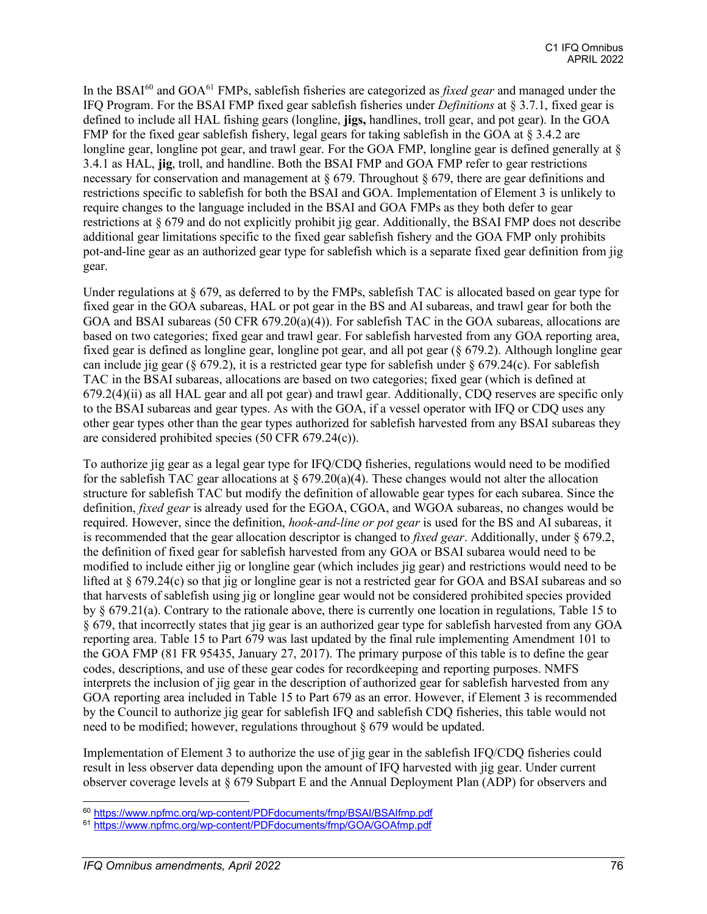In the BSAI[60](#page-9-0) and GOA[61](#page-9-1) FMPs, sablefish fisheries are categorized as *fixed gear* and managed under the IFQ Program. For the BSAI FMP fixed gear sablefish fisheries under *Definitions* at § 3.7.1, fixed gear is defined to include all HAL fishing gears (longline, **jigs,** handlines, troll gear, and pot gear). In the GOA FMP for the fixed gear sablefish fishery, legal gears for taking sablefish in the GOA at § 3.4.2 are longline gear, longline pot gear, and trawl gear. For the GOA FMP, longline gear is defined generally at  $\delta$ 3.4.1 as HAL, **jig**, troll, and handline. Both the BSAI FMP and GOA FMP refer to gear restrictions necessary for conservation and management at § 679. Throughout § 679, there are gear definitions and restrictions specific to sablefish for both the BSAI and GOA. Implementation of Element 3 is unlikely to require changes to the language included in the BSAI and GOA FMPs as they both defer to gear restrictions at § 679 and do not explicitly prohibit jig gear. Additionally, the BSAI FMP does not describe additional gear limitations specific to the fixed gear sablefish fishery and the GOA FMP only prohibits pot-and-line gear as an authorized gear type for sablefish which is a separate fixed gear definition from jig gear.

Under regulations at  $\S 679$ , as deferred to by the FMPs, sablefish TAC is allocated based on gear type for fixed gear in the GOA subareas, HAL or pot gear in the BS and AI subareas, and trawl gear for both the GOA and BSAI subareas (50 CFR 679.20(a)(4)). For sablefish TAC in the GOA subareas, allocations are based on two categories; fixed gear and trawl gear. For sablefish harvested from any GOA reporting area, fixed gear is defined as longline gear, longline pot gear, and all pot gear (§ 679.2). Although longline gear can include jig gear (§ 679.2), it is a restricted gear type for sablefish under  $§$  679.24(c). For sablefish TAC in the BSAI subareas, allocations are based on two categories; fixed gear (which is defined at 679.2(4)(ii) as all HAL gear and all pot gear) and trawl gear. Additionally, CDQ reserves are specific only to the BSAI subareas and gear types. As with the GOA, if a vessel operator with IFQ or CDQ uses any other gear types other than the gear types authorized for sablefish harvested from any BSAI subareas they are considered prohibited species (50 CFR 679.24(c)).

To authorize jig gear as a legal gear type for IFQ/CDQ fisheries, regulations would need to be modified for the sablefish TAC gear allocations at  $\S 679.20(a)(4)$ . These changes would not alter the allocation structure for sablefish TAC but modify the definition of allowable gear types for each subarea. Since the definition, *fixed gear* is already used for the EGOA, CGOA, and WGOA subareas, no changes would be required. However, since the definition, *hook-and-line or pot gear* is used for the BS and AI subareas, it is recommended that the gear allocation descriptor is changed to *fixed gear*. Additionally, under § 679.2, the definition of fixed gear for sablefish harvested from any GOA or BSAI subarea would need to be modified to include either jig or longline gear (which includes jig gear) and restrictions would need to be lifted at § 679.24(c) so that jig or longline gear is not a restricted gear for GOA and BSAI subareas and so that harvests of sablefish using jig or longline gear would not be considered prohibited species provided by § 679.21(a). Contrary to the rationale above, there is currently one location in regulations, Table 15 to § 679, that incorrectly states that jig gear is an authorized gear type for sablefish harvested from any GOA reporting area. Table 15 to Part 679 was last updated by the final rule implementing Amendment 101 to the GOA FMP (81 FR 95435, January 27, 2017). The primary purpose of this table is to define the gear codes, descriptions, and use of these gear codes for recordkeeping and reporting purposes. NMFS interprets the inclusion of jig gear in the description of authorized gear for sablefish harvested from any GOA reporting area included in Table 15 to Part 679 as an error. However, if Element 3 is recommended by the Council to authorize jig gear for sablefish IFQ and sablefish CDQ fisheries, this table would not need to be modified; however, regulations throughout § 679 would be updated.

Implementation of Element 3 to authorize the use of jig gear in the sablefish IFQ/CDQ fisheries could result in less observer data depending upon the amount of IFQ harvested with jig gear. Under current observer coverage levels at § 679 Subpart E and the Annual Deployment Plan (ADP) for observers and

<span id="page-9-0"></span><sup>60</sup> <https://www.npfmc.org/wp-content/PDFdocuments/fmp/BSAI/BSAIfmp.pdf>

<span id="page-9-1"></span><sup>61</sup> <https://www.npfmc.org/wp-content/PDFdocuments/fmp/GOA/GOAfmp.pdf>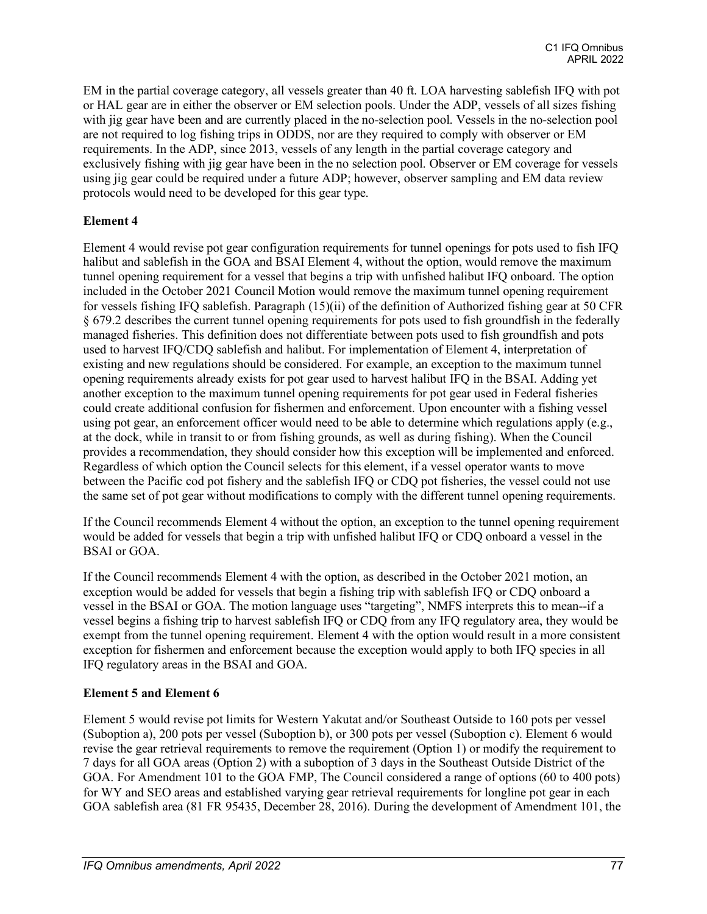EM in the partial coverage category, all vessels greater than 40 ft. LOA harvesting sablefish IFQ with pot or HAL gear are in either the observer or EM selection pools. Under the ADP, vessels of all sizes fishing with jig gear have been and are currently placed in the no-selection pool. Vessels in the no-selection pool are not required to log fishing trips in ODDS, nor are they required to comply with observer or EM requirements. In the ADP, since 2013, vessels of any length in the partial coverage category and exclusively fishing with jig gear have been in the no selection pool. Observer or EM coverage for vessels using jig gear could be required under a future ADP; however, observer sampling and EM data review protocols would need to be developed for this gear type.

#### **Element 4**

Element 4 would revise pot gear configuration requirements for tunnel openings for pots used to fish IFQ halibut and sablefish in the GOA and BSAI Element 4, without the option, would remove the maximum tunnel opening requirement for a vessel that begins a trip with unfished halibut IFQ onboard. The option included in the October 2021 Council Motion would remove the maximum tunnel opening requirement for vessels fishing IFQ sablefish. Paragraph (15)(ii) of the definition of Authorized fishing gear at 50 CFR § 679.2 describes the current tunnel opening requirements for pots used to fish groundfish in the federally managed fisheries. This definition does not differentiate between pots used to fish groundfish and pots used to harvest IFQ/CDQ sablefish and halibut. For implementation of Element 4, interpretation of existing and new regulations should be considered. For example, an exception to the maximum tunnel opening requirements already exists for pot gear used to harvest halibut IFQ in the BSAI. Adding yet another exception to the maximum tunnel opening requirements for pot gear used in Federal fisheries could create additional confusion for fishermen and enforcement. Upon encounter with a fishing vessel using pot gear, an enforcement officer would need to be able to determine which regulations apply (e.g., at the dock, while in transit to or from fishing grounds, as well as during fishing). When the Council provides a recommendation, they should consider how this exception will be implemented and enforced. Regardless of which option the Council selects for this element, if a vessel operator wants to move between the Pacific cod pot fishery and the sablefish IFQ or CDQ pot fisheries, the vessel could not use the same set of pot gear without modifications to comply with the different tunnel opening requirements.

If the Council recommends Element 4 without the option, an exception to the tunnel opening requirement would be added for vessels that begin a trip with unfished halibut IFQ or CDQ onboard a vessel in the BSAI or GOA.

If the Council recommends Element 4 with the option, as described in the October 2021 motion, an exception would be added for vessels that begin a fishing trip with sablefish IFQ or CDQ onboard a vessel in the BSAI or GOA. The motion language uses "targeting", NMFS interprets this to mean--if a vessel begins a fishing trip to harvest sablefish IFQ or CDQ from any IFQ regulatory area, they would be exempt from the tunnel opening requirement. Element 4 with the option would result in a more consistent exception for fishermen and enforcement because the exception would apply to both IFQ species in all IFQ regulatory areas in the BSAI and GOA.

#### **Element 5 and Element 6**

Element 5 would revise pot limits for Western Yakutat and/or Southeast Outside to 160 pots per vessel (Suboption a), 200 pots per vessel (Suboption b), or 300 pots per vessel (Suboption c). Element 6 would revise the gear retrieval requirements to remove the requirement (Option 1) or modify the requirement to 7 days for all GOA areas (Option 2) with a suboption of 3 days in the Southeast Outside District of the GOA. For Amendment 101 to the GOA FMP, The Council considered a range of options (60 to 400 pots) for WY and SEO areas and established varying gear retrieval requirements for longline pot gear in each GOA sablefish area (81 FR 95435, December 28, 2016). During the development of Amendment 101, the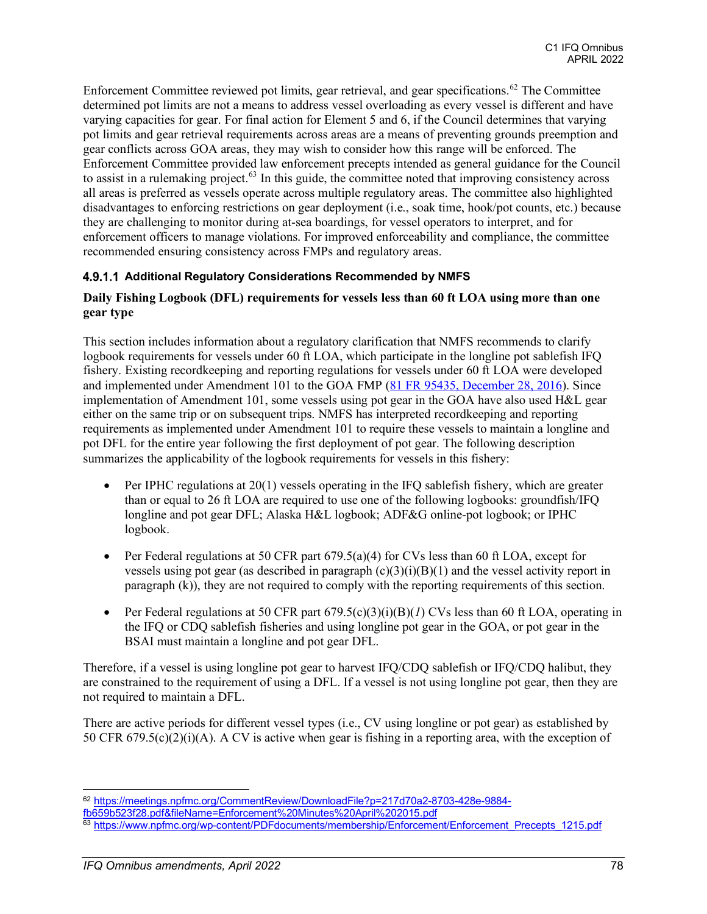Enforcement Committee reviewed pot limits, gear retrieval, and gear specifications.<sup>[62](#page-11-0)</sup> The Committee determined pot limits are not a means to address vessel overloading as every vessel is different and have varying capacities for gear. For final action for Element 5 and 6, if the Council determines that varying pot limits and gear retrieval requirements across areas are a means of preventing grounds preemption and gear conflicts across GOA areas, they may wish to consider how this range will be enforced. The Enforcement Committee provided law enforcement precepts intended as general guidance for the Council to assist in a rulemaking project.<sup>[63](#page-11-1)</sup> In this guide, the committee noted that improving consistency across all areas is preferred as vessels operate across multiple regulatory areas. The committee also highlighted disadvantages to enforcing restrictions on gear deployment (i.e., soak time, hook/pot counts, etc.) because they are challenging to monitor during at-sea boardings, for vessel operators to interpret, and for enforcement officers to manage violations. For improved enforceability and compliance, the committee recommended ensuring consistency across FMPs and regulatory areas.

#### **4.9.1.1 Additional Regulatory Considerations Recommended by NMFS**

#### **Daily Fishing Logbook (DFL) requirements for vessels less than 60 ft LOA using more than one gear type**

This section includes information about a regulatory clarification that NMFS recommends to clarify logbook requirements for vessels under 60 ft LOA, which participate in the longline pot sablefish IFQ fishery. Existing recordkeeping and reporting regulations for vessels under 60 ft LOA were developed and implemented under Amendment 101 to the GOA FMP [\(81 FR 95435, December 28, 2016\)](https://www.govinfo.gov/content/pkg/FR-2016-12-28/pdf/2016-31057.pdf). Since implementation of Amendment 101, some vessels using pot gear in the GOA have also used H&L gear either on the same trip or on subsequent trips. NMFS has interpreted recordkeeping and reporting requirements as implemented under Amendment 101 to require these vessels to maintain a longline and pot DFL for the entire year following the first deployment of pot gear. The following description summarizes the applicability of the logbook requirements for vessels in this fishery:

- Per IPHC regulations at 20(1) vessels operating in the IFQ sablefish fishery, which are greater than or equal to 26 ft LOA are required to use one of the following logbooks: groundfish/IFQ longline and pot gear DFL; Alaska H&L logbook; ADF&G online-pot logbook; or IPHC logbook.
- Per Federal regulations at 50 CFR part  $679.5(a)(4)$  for CVs less than 60 ft LOA, except for vessels using pot gear (as described in paragraph  $(c)(3)(i)(B)(1)$  and the vessel activity report in paragraph (k)), they are not required to comply with the reporting requirements of this section.
- Per Federal regulations at 50 CFR part 679.5(c)(3)(i)(B)(*1*) CVs less than 60 ft LOA, operating in the IFQ or CDQ sablefish fisheries and using longline pot gear in the GOA, or pot gear in the BSAI must maintain a longline and pot gear DFL.

Therefore, if a vessel is using longline pot gear to harvest IFQ/CDQ sablefish or IFQ/CDQ halibut, they are constrained to the requirement of using a DFL. If a vessel is not using longline pot gear, then they are not required to maintain a DFL.

There are active periods for different vessel types (i.e., CV using longline or pot gear) as established by 50 CFR 679.5(c)(2)(i)(A). A CV is active when gear is fishing in a reporting area, with the exception of

<span id="page-11-0"></span><sup>62</sup> [https://meetings.npfmc.org/CommentReview/DownloadFile?p=217d70a2-8703-428e-9884-](https://meetings.npfmc.org/CommentReview/DownloadFile?p=217d70a2-8703-428e-9884-fb659b523f28.pdf&fileName=Enforcement%20Minutes%20April%202015.pdf)

[fb659b523f28.pdf&fileName=Enforcement%20Minutes%20April%202015.pdf](https://meetings.npfmc.org/CommentReview/DownloadFile?p=217d70a2-8703-428e-9884-fb659b523f28.pdf&fileName=Enforcement%20Minutes%20April%202015.pdf)

<span id="page-11-1"></span><sup>63</sup> [https://www.npfmc.org/wp-content/PDFdocuments/membership/Enforcement/Enforcement\\_Precepts\\_1215.pdf](https://www.npfmc.org/wp-content/PDFdocuments/membership/Enforcement/Enforcement_Precepts_1215.pdf)